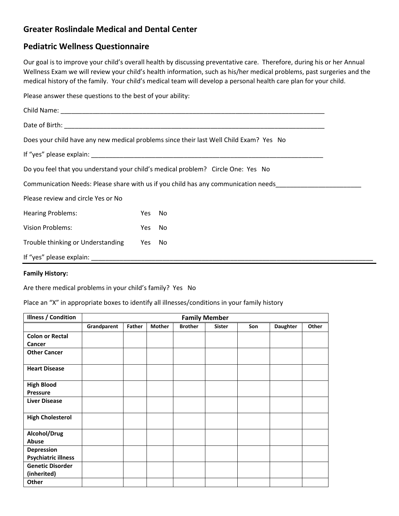## **Greater Roslindale Medical and Dental Center**

## **Pediatric Wellness Questionnaire**

Our goal is to improve your child's overall health by discussing preventative care. Therefore, during his or her Annual Wellness Exam we will review your child's health information, such as his/her medical problems, past surgeries and the medical history of the family. Your child's medical team will develop a personal health care plan for your child.

Please answer these questions to the best of your ability:

|                                                                                  |     | Does your child have any new medical problems since their last Well Child Exam? Yes No |  |  |  |
|----------------------------------------------------------------------------------|-----|----------------------------------------------------------------------------------------|--|--|--|
|                                                                                  |     |                                                                                        |  |  |  |
| Do you feel that you understand your child's medical problem? Circle One: Yes No |     |                                                                                        |  |  |  |
|                                                                                  |     | Communication Needs: Please share with us if you child has any communication needs     |  |  |  |
| Please review and circle Yes or No                                               |     |                                                                                        |  |  |  |
| <b>Hearing Problems:</b>                                                         | Yes | No                                                                                     |  |  |  |
| <b>Vision Problems:</b>                                                          | Yes | No                                                                                     |  |  |  |
| Trouble thinking or Understanding                                                | Yes | No.                                                                                    |  |  |  |
| If "yes" please explain:                                                         |     |                                                                                        |  |  |  |

## **Family History:**

Are there medical problems in your child's family? Yes No

Place an "X" in appropriate boxes to identify all illnesses/conditions in your family history

| <b>Illness / Condition</b> | <b>Family Member</b> |        |               |                |               |     |                 |       |
|----------------------------|----------------------|--------|---------------|----------------|---------------|-----|-----------------|-------|
|                            | Grandparent          | Father | <b>Mother</b> | <b>Brother</b> | <b>Sister</b> | Son | <b>Daughter</b> | Other |
| <b>Colon or Rectal</b>     |                      |        |               |                |               |     |                 |       |
| Cancer                     |                      |        |               |                |               |     |                 |       |
| <b>Other Cancer</b>        |                      |        |               |                |               |     |                 |       |
| <b>Heart Disease</b>       |                      |        |               |                |               |     |                 |       |
| <b>High Blood</b>          |                      |        |               |                |               |     |                 |       |
| <b>Pressure</b>            |                      |        |               |                |               |     |                 |       |
| <b>Liver Disease</b>       |                      |        |               |                |               |     |                 |       |
| <b>High Cholesterol</b>    |                      |        |               |                |               |     |                 |       |
| Alcohol/Drug               |                      |        |               |                |               |     |                 |       |
| Abuse                      |                      |        |               |                |               |     |                 |       |
| Depression                 |                      |        |               |                |               |     |                 |       |
| <b>Psychiatric illness</b> |                      |        |               |                |               |     |                 |       |
| <b>Genetic Disorder</b>    |                      |        |               |                |               |     |                 |       |
| (inherited)                |                      |        |               |                |               |     |                 |       |
| Other                      |                      |        |               |                |               |     |                 |       |